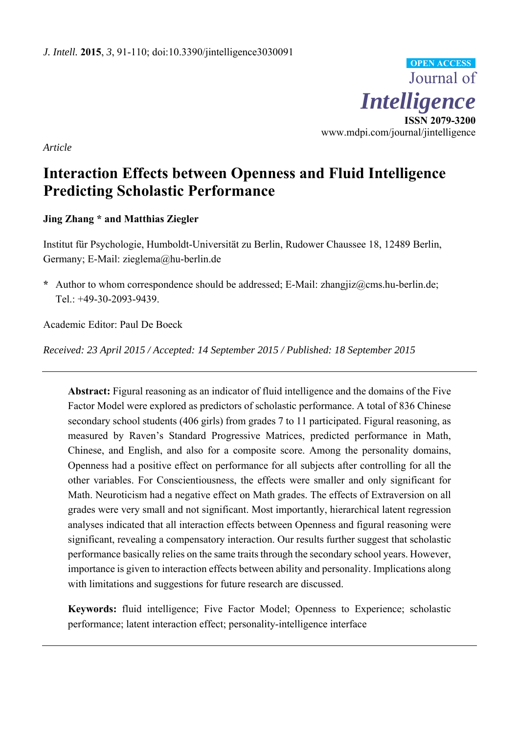

*Article* 

# **Interaction Effects between Openness and Fluid Intelligence Predicting Scholastic Performance**

**Jing Zhang \* and Matthias Ziegler** 

Institut für Psychologie, Humboldt-Universität zu Berlin, Rudower Chaussee 18, 12489 Berlin, Germany; E-Mail: zieglema@hu-berlin.de

**\*** Author to whom correspondence should be addressed; E-Mail: zhangjiz@cms.hu-berlin.de; Tel.: +49-30-2093-9439.

Academic Editor: Paul De Boeck

*Received: 23 April 2015 / Accepted: 14 September 2015 / Published: 18 September 2015* 

**Abstract:** Figural reasoning as an indicator of fluid intelligence and the domains of the Five Factor Model were explored as predictors of scholastic performance. A total of 836 Chinese secondary school students (406 girls) from grades 7 to 11 participated. Figural reasoning, as measured by Raven's Standard Progressive Matrices, predicted performance in Math, Chinese, and English, and also for a composite score. Among the personality domains, Openness had a positive effect on performance for all subjects after controlling for all the other variables. For Conscientiousness, the effects were smaller and only significant for Math. Neuroticism had a negative effect on Math grades. The effects of Extraversion on all grades were very small and not significant. Most importantly, hierarchical latent regression analyses indicated that all interaction effects between Openness and figural reasoning were significant, revealing a compensatory interaction. Our results further suggest that scholastic performance basically relies on the same traits through the secondary school years. However, importance is given to interaction effects between ability and personality. Implications along with limitations and suggestions for future research are discussed.

**Keywords:** fluid intelligence; Five Factor Model; Openness to Experience; scholastic performance; latent interaction effect; personality-intelligence interface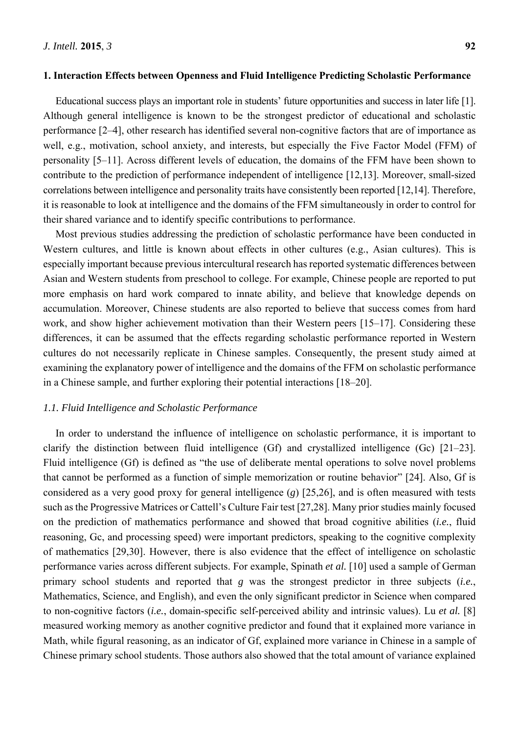## **1. Interaction Effects between Openness and Fluid Intelligence Predicting Scholastic Performance**

Educational success plays an important role in students' future opportunities and success in later life [1]. Although general intelligence is known to be the strongest predictor of educational and scholastic performance [2–4], other research has identified several non-cognitive factors that are of importance as well, e.g., motivation, school anxiety, and interests, but especially the Five Factor Model (FFM) of personality [5–11]. Across different levels of education, the domains of the FFM have been shown to contribute to the prediction of performance independent of intelligence [12,13]. Moreover, small-sized correlations between intelligence and personality traits have consistently been reported [12,14]. Therefore, it is reasonable to look at intelligence and the domains of the FFM simultaneously in order to control for their shared variance and to identify specific contributions to performance.

Most previous studies addressing the prediction of scholastic performance have been conducted in Western cultures, and little is known about effects in other cultures (e.g., Asian cultures). This is especially important because previous intercultural research has reported systematic differences between Asian and Western students from preschool to college. For example, Chinese people are reported to put more emphasis on hard work compared to innate ability, and believe that knowledge depends on accumulation. Moreover, Chinese students are also reported to believe that success comes from hard work, and show higher achievement motivation than their Western peers [15–17]. Considering these differences, it can be assumed that the effects regarding scholastic performance reported in Western cultures do not necessarily replicate in Chinese samples. Consequently, the present study aimed at examining the explanatory power of intelligence and the domains of the FFM on scholastic performance in a Chinese sample, and further exploring their potential interactions [18–20].

## *1.1. Fluid Intelligence and Scholastic Performance*

In order to understand the influence of intelligence on scholastic performance, it is important to clarify the distinction between fluid intelligence (Gf) and crystallized intelligence (Gc) [21–23]. Fluid intelligence (Gf) is defined as "the use of deliberate mental operations to solve novel problems that cannot be performed as a function of simple memorization or routine behavior" [24]. Also, Gf is considered as a very good proxy for general intelligence (*g*) [25,26], and is often measured with tests such as the Progressive Matrices or Cattell's Culture Fair test [27,28]. Many prior studies mainly focused on the prediction of mathematics performance and showed that broad cognitive abilities (*i.e.*, fluid reasoning, Gc, and processing speed) were important predictors, speaking to the cognitive complexity of mathematics [29,30]. However, there is also evidence that the effect of intelligence on scholastic performance varies across different subjects. For example, Spinath *et al.* [10] used a sample of German primary school students and reported that *g* was the strongest predictor in three subjects (*i.e.*, Mathematics, Science, and English), and even the only significant predictor in Science when compared to non-cognitive factors (*i.e.*, domain-specific self-perceived ability and intrinsic values). Lu *et al.* [8] measured working memory as another cognitive predictor and found that it explained more variance in Math, while figural reasoning, as an indicator of Gf, explained more variance in Chinese in a sample of Chinese primary school students. Those authors also showed that the total amount of variance explained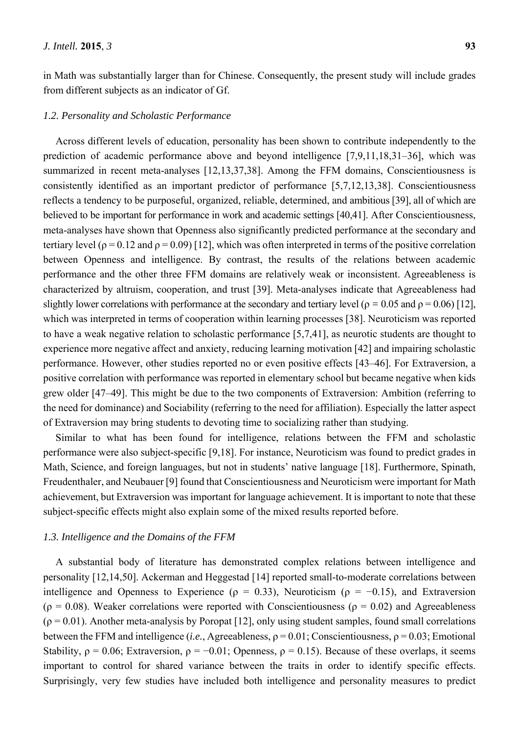in Math was substantially larger than for Chinese. Consequently, the present study will include grades from different subjects as an indicator of Gf.

#### *1.2. Personality and Scholastic Performance*

Across different levels of education, personality has been shown to contribute independently to the prediction of academic performance above and beyond intelligence [7,9,11,18,31–36], which was summarized in recent meta-analyses [12,13,37,38]. Among the FFM domains, Conscientiousness is consistently identified as an important predictor of performance [5,7,12,13,38]. Conscientiousness reflects a tendency to be purposeful, organized, reliable, determined, and ambitious [39], all of which are believed to be important for performance in work and academic settings [40,41]. After Conscientiousness, meta-analyses have shown that Openness also significantly predicted performance at the secondary and tertiary level ( $\rho$  = 0.12 and  $\rho$  = 0.09) [12], which was often interpreted in terms of the positive correlation between Openness and intelligence. By contrast, the results of the relations between academic performance and the other three FFM domains are relatively weak or inconsistent. Agreeableness is characterized by altruism, cooperation, and trust [39]. Meta-analyses indicate that Agreeableness had slightly lower correlations with performance at the secondary and tertiary level ( $\rho = 0.05$  and  $\rho = 0.06$ ) [12], which was interpreted in terms of cooperation within learning processes [38]. Neuroticism was reported to have a weak negative relation to scholastic performance [5,7,41], as neurotic students are thought to experience more negative affect and anxiety, reducing learning motivation [42] and impairing scholastic performance. However, other studies reported no or even positive effects [43–46]. For Extraversion, a positive correlation with performance was reported in elementary school but became negative when kids grew older [47–49]. This might be due to the two components of Extraversion: Ambition (referring to the need for dominance) and Sociability (referring to the need for affiliation). Especially the latter aspect of Extraversion may bring students to devoting time to socializing rather than studying.

Similar to what has been found for intelligence, relations between the FFM and scholastic performance were also subject-specific [9,18]. For instance, Neuroticism was found to predict grades in Math, Science, and foreign languages, but not in students' native language [18]. Furthermore, Spinath, Freudenthaler, and Neubauer [9] found that Conscientiousness and Neuroticism were important for Math achievement, but Extraversion was important for language achievement. It is important to note that these subject-specific effects might also explain some of the mixed results reported before.

#### *1.3. Intelligence and the Domains of the FFM*

A substantial body of literature has demonstrated complex relations between intelligence and personality [12,14,50]. Ackerman and Heggestad [14] reported small-to-moderate correlations between intelligence and Openness to Experience ( $\rho = 0.33$ ), Neuroticism ( $\rho = -0.15$ ), and Extraversion ( $\rho = 0.08$ ). Weaker correlations were reported with Conscientiousness ( $\rho = 0.02$ ) and Agreeableness  $(p = 0.01)$ . Another meta-analysis by Poropat [12], only using student samples, found small correlations between the FFM and intelligence (*i.e.*, Agreeableness,  $\rho = 0.01$ ; Conscientiousness,  $\rho = 0.03$ ; Emotional Stability,  $\rho = 0.06$ ; Extraversion,  $\rho = -0.01$ ; Openness,  $\rho = 0.15$ ). Because of these overlaps, it seems important to control for shared variance between the traits in order to identify specific effects. Surprisingly, very few studies have included both intelligence and personality measures to predict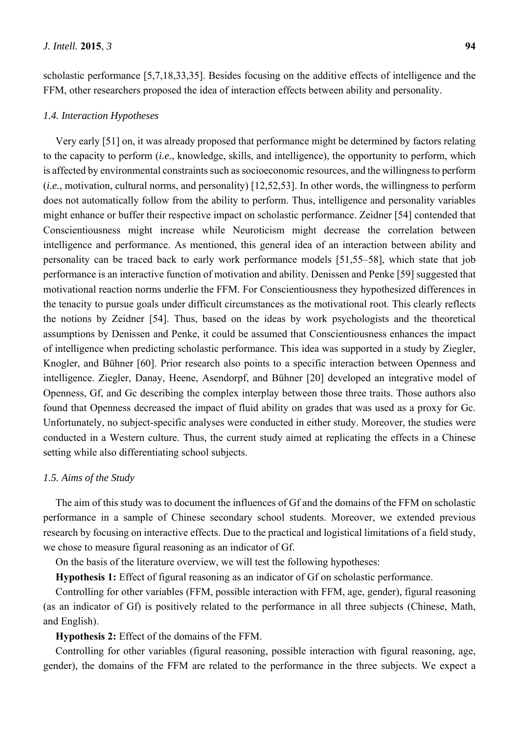scholastic performance [5,7,18,33,35]. Besides focusing on the additive effects of intelligence and the FFM, other researchers proposed the idea of interaction effects between ability and personality.

#### *1.4. Interaction Hypotheses*

Very early [51] on, it was already proposed that performance might be determined by factors relating to the capacity to perform (*i.e.*, knowledge, skills, and intelligence), the opportunity to perform, which is affected by environmental constraints such as socioeconomic resources, and the willingness to perform (*i.e.*, motivation, cultural norms, and personality) [12,52,53]. In other words, the willingness to perform does not automatically follow from the ability to perform. Thus, intelligence and personality variables might enhance or buffer their respective impact on scholastic performance. Zeidner [54] contended that Conscientiousness might increase while Neuroticism might decrease the correlation between intelligence and performance. As mentioned, this general idea of an interaction between ability and personality can be traced back to early work performance models [51,55–58], which state that job performance is an interactive function of motivation and ability. Denissen and Penke [59] suggested that motivational reaction norms underlie the FFM. For Conscientiousness they hypothesized differences in the tenacity to pursue goals under difficult circumstances as the motivational root. This clearly reflects the notions by Zeidner [54]. Thus, based on the ideas by work psychologists and the theoretical assumptions by Denissen and Penke, it could be assumed that Conscientiousness enhances the impact of intelligence when predicting scholastic performance. This idea was supported in a study by Ziegler, Knogler, and Bühner [60]. Prior research also points to a specific interaction between Openness and intelligence. Ziegler, Danay, Heene, Asendorpf, and Bühner [20] developed an integrative model of Openness, Gf, and Gc describing the complex interplay between those three traits. Those authors also found that Openness decreased the impact of fluid ability on grades that was used as a proxy for Gc. Unfortunately, no subject-specific analyses were conducted in either study. Moreover, the studies were conducted in a Western culture. Thus, the current study aimed at replicating the effects in a Chinese setting while also differentiating school subjects.

#### *1.5. Aims of the Study*

The aim of this study was to document the influences of Gf and the domains of the FFM on scholastic performance in a sample of Chinese secondary school students. Moreover, we extended previous research by focusing on interactive effects. Due to the practical and logistical limitations of a field study, we chose to measure figural reasoning as an indicator of Gf.

On the basis of the literature overview, we will test the following hypotheses:

**Hypothesis 1:** Effect of figural reasoning as an indicator of Gf on scholastic performance.

Controlling for other variables (FFM, possible interaction with FFM, age, gender), figural reasoning (as an indicator of Gf) is positively related to the performance in all three subjects (Chinese, Math, and English).

**Hypothesis 2:** Effect of the domains of the FFM.

Controlling for other variables (figural reasoning, possible interaction with figural reasoning, age, gender), the domains of the FFM are related to the performance in the three subjects. We expect a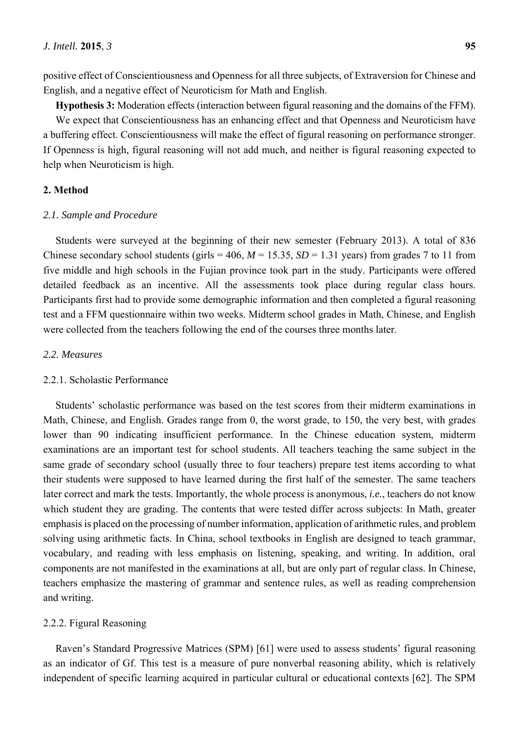positive effect of Conscientiousness and Openness for all three subjects, of Extraversion for Chinese and English, and a negative effect of Neuroticism for Math and English.

**Hypothesis 3:** Moderation effects (interaction between figural reasoning and the domains of the FFM).

We expect that Conscientiousness has an enhancing effect and that Openness and Neuroticism have a buffering effect. Conscientiousness will make the effect of figural reasoning on performance stronger. If Openness is high, figural reasoning will not add much, and neither is figural reasoning expected to help when Neuroticism is high.

## **2. Method**

#### *2.1. Sample and Procedure*

Students were surveyed at the beginning of their new semester (February 2013). A total of 836 Chinese secondary school students (girls =  $406$ ,  $M = 15.35$ ,  $SD = 1.31$  years) from grades 7 to 11 from five middle and high schools in the Fujian province took part in the study. Participants were offered detailed feedback as an incentive. All the assessments took place during regular class hours. Participants first had to provide some demographic information and then completed a figural reasoning test and a FFM questionnaire within two weeks. Midterm school grades in Math, Chinese, and English were collected from the teachers following the end of the courses three months later.

#### *2.2. Measures*

## 2.2.1. Scholastic Performance

Students' scholastic performance was based on the test scores from their midterm examinations in Math, Chinese, and English. Grades range from 0, the worst grade, to 150, the very best, with grades lower than 90 indicating insufficient performance. In the Chinese education system, midterm examinations are an important test for school students. All teachers teaching the same subject in the same grade of secondary school (usually three to four teachers) prepare test items according to what their students were supposed to have learned during the first half of the semester. The same teachers later correct and mark the tests. Importantly, the whole process is anonymous, *i.e.*, teachers do not know which student they are grading. The contents that were tested differ across subjects: In Math, greater emphasis is placed on the processing of number information, application of arithmetic rules, and problem solving using arithmetic facts. In China, school textbooks in English are designed to teach grammar, vocabulary, and reading with less emphasis on listening, speaking, and writing. In addition, oral components are not manifested in the examinations at all, but are only part of regular class. In Chinese, teachers emphasize the mastering of grammar and sentence rules, as well as reading comprehension and writing.

#### 2.2.2. Figural Reasoning

Raven's Standard Progressive Matrices (SPM) [61] were used to assess students' figural reasoning as an indicator of Gf. This test is a measure of pure nonverbal reasoning ability, which is relatively independent of specific learning acquired in particular cultural or educational contexts [62]. The SPM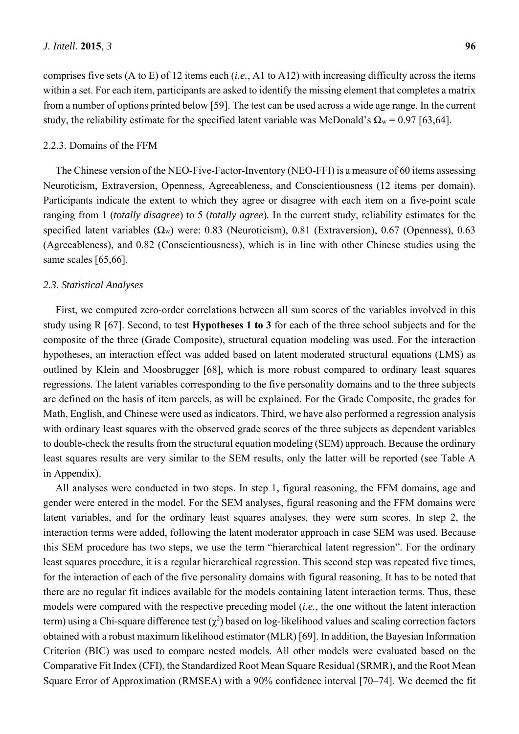comprises five sets (A to E) of 12 items each (*i.e.*, A1 to A12) with increasing difficulty across the items within a set. For each item, participants are asked to identify the missing element that completes a matrix from a number of options printed below [59]. The test can be used across a wide age range. In the current study, the reliability estimate for the specified latent variable was McDonald's  $\Omega_w = 0.97$  [63,64].

#### 2.2.3. Domains of the FFM

The Chinese version of the NEO-Five-Factor-Inventory (NEO-FFI) is a measure of 60 items assessing Neuroticism, Extraversion, Openness, Agreeableness, and Conscientiousness (12 items per domain). Participants indicate the extent to which they agree or disagree with each item on a five-point scale ranging from 1 (*totally disagree*) to 5 (*totally agree*)*.* In the current study, reliability estimates for the specified latent variables  $(\Omega_w)$  were: 0.83 (Neuroticism), 0.81 (Extraversion), 0.67 (Openness), 0.63 (Agreeableness), and 0.82 (Conscientiousness), which is in line with other Chinese studies using the same scales [65,66].

## *2.3. Statistical Analyses*

First, we computed zero-order correlations between all sum scores of the variables involved in this study using R [67]. Second, to test **Hypotheses 1 to 3** for each of the three school subjects and for the composite of the three (Grade Composite), structural equation modeling was used. For the interaction hypotheses, an interaction effect was added based on latent moderated structural equations (LMS) as outlined by Klein and Moosbrugger [68], which is more robust compared to ordinary least squares regressions. The latent variables corresponding to the five personality domains and to the three subjects are defined on the basis of item parcels, as will be explained. For the Grade Composite, the grades for Math, English, and Chinese were used as indicators. Third, we have also performed a regression analysis with ordinary least squares with the observed grade scores of the three subjects as dependent variables to double-check the results from the structural equation modeling (SEM) approach. Because the ordinary least squares results are very similar to the SEM results, only the latter will be reported (see Table A in Appendix).

All analyses were conducted in two steps. In step 1, figural reasoning, the FFM domains, age and gender were entered in the model. For the SEM analyses, figural reasoning and the FFM domains were latent variables, and for the ordinary least squares analyses, they were sum scores. In step 2, the interaction terms were added, following the latent moderator approach in case SEM was used. Because this SEM procedure has two steps, we use the term "hierarchical latent regression". For the ordinary least squares procedure, it is a regular hierarchical regression. This second step was repeated five times, for the interaction of each of the five personality domains with figural reasoning. It has to be noted that there are no regular fit indices available for the models containing latent interaction terms. Thus, these models were compared with the respective preceding model (*i.e.*, the one without the latent interaction term) using a Chi-square difference test  $(\chi^2)$  based on log-likelihood values and scaling correction factors obtained with a robust maximum likelihood estimator (MLR) [69]. In addition, the Bayesian Information Criterion (BIC) was used to compare nested models. All other models were evaluated based on the Comparative Fit Index (CFI), the Standardized Root Mean Square Residual (SRMR), and the Root Mean Square Error of Approximation (RMSEA) with a 90% confidence interval [70–74]. We deemed the fit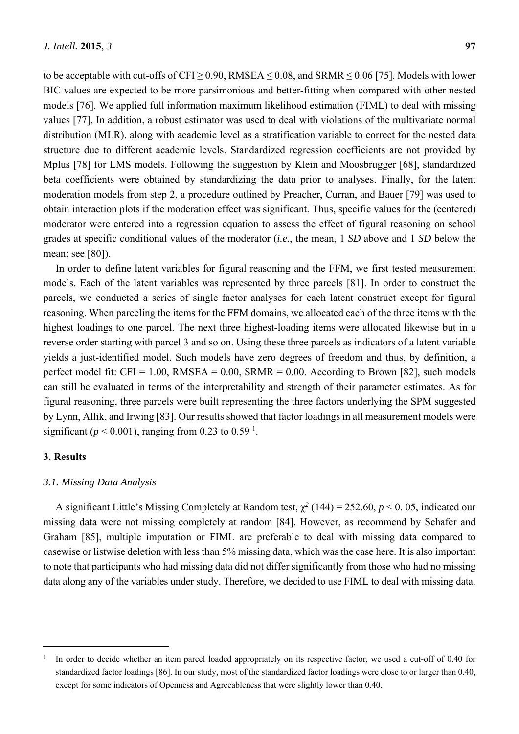to be acceptable with cut-offs of CFI  $\geq$  0.90, RMSEA  $\leq$  0.08, and SRMR  $\leq$  0.06 [75]. Models with lower BIC values are expected to be more parsimonious and better-fitting when compared with other nested models [76]. We applied full information maximum likelihood estimation (FIML) to deal with missing values [77]. In addition, a robust estimator was used to deal with violations of the multivariate normal distribution (MLR), along with academic level as a stratification variable to correct for the nested data structure due to different academic levels. Standardized regression coefficients are not provided by Mplus [78] for LMS models. Following the suggestion by Klein and Moosbrugger [68], standardized beta coefficients were obtained by standardizing the data prior to analyses. Finally, for the latent moderation models from step 2, a procedure outlined by Preacher, Curran, and Bauer [79] was used to obtain interaction plots if the moderation effect was significant. Thus, specific values for the (centered) moderator were entered into a regression equation to assess the effect of figural reasoning on school grades at specific conditional values of the moderator (*i.e.*, the mean, 1 *SD* above and 1 *SD* below the mean; see [80]).

In order to define latent variables for figural reasoning and the FFM, we first tested measurement models. Each of the latent variables was represented by three parcels [81]. In order to construct the parcels, we conducted a series of single factor analyses for each latent construct except for figural reasoning. When parceling the items for the FFM domains, we allocated each of the three items with the highest loadings to one parcel. The next three highest-loading items were allocated likewise but in a reverse order starting with parcel 3 and so on. Using these three parcels as indicators of a latent variable yields a just-identified model. Such models have zero degrees of freedom and thus, by definition, a perfect model fit:  $CFI = 1.00$ , RMSEA = 0.00, SRMR = 0.00. According to Brown [82], such models can still be evaluated in terms of the interpretability and strength of their parameter estimates. As for figural reasoning, three parcels were built representing the three factors underlying the SPM suggested by Lynn, Allik, and Irwing [83]. Our results showed that factor loadings in all measurement models were significant ( $p < 0.001$ ), ranging from 0.23 to 0.59<sup>1</sup>.

## **3. Results**

 $\overline{a}$ 

#### *3.1. Missing Data Analysis*

A significant Little's Missing Completely at Random test,  $\chi^2$  (144) = 252.60, *p* < 0.05, indicated our missing data were not missing completely at random [84]. However, as recommend by Schafer and Graham [85], multiple imputation or FIML are preferable to deal with missing data compared to casewise or listwise deletion with less than 5% missing data, which was the case here. It is also important to note that participants who had missing data did not differ significantly from those who had no missing data along any of the variables under study. Therefore, we decided to use FIML to deal with missing data.

<sup>1</sup> In order to decide whether an item parcel loaded appropriately on its respective factor, we used a cut-off of 0.40 for standardized factor loadings [86]. In our study, most of the standardized factor loadings were close to or larger than 0.40, except for some indicators of Openness and Agreeableness that were slightly lower than 0.40.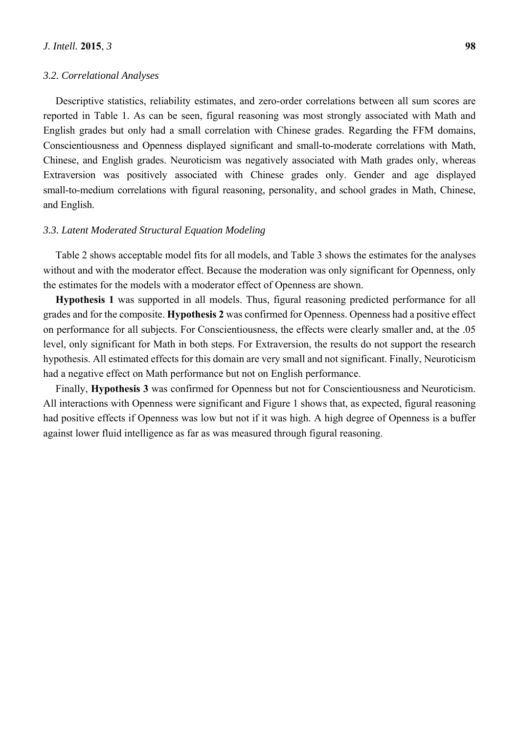#### *3.2. Correlational Analyses*

Descriptive statistics, reliability estimates, and zero-order correlations between all sum scores are reported in Table 1. As can be seen, figural reasoning was most strongly associated with Math and English grades but only had a small correlation with Chinese grades. Regarding the FFM domains, Conscientiousness and Openness displayed significant and small-to-moderate correlations with Math, Chinese, and English grades. Neuroticism was negatively associated with Math grades only, whereas Extraversion was positively associated with Chinese grades only. Gender and age displayed small-to-medium correlations with figural reasoning, personality, and school grades in Math, Chinese, and English.

#### *3.3. Latent Moderated Structural Equation Modeling*

Table 2 shows acceptable model fits for all models, and Table 3 shows the estimates for the analyses without and with the moderator effect. Because the moderation was only significant for Openness, only the estimates for the models with a moderator effect of Openness are shown.

**Hypothesis 1** was supported in all models. Thus, figural reasoning predicted performance for all grades and for the composite. **Hypothesis 2** was confirmed for Openness. Openness had a positive effect on performance for all subjects. For Conscientiousness, the effects were clearly smaller and, at the .05 level, only significant for Math in both steps. For Extraversion, the results do not support the research hypothesis. All estimated effects for this domain are very small and not significant. Finally, Neuroticism had a negative effect on Math performance but not on English performance.

Finally, **Hypothesis 3** was confirmed for Openness but not for Conscientiousness and Neuroticism. All interactions with Openness were significant and Figure 1 shows that, as expected, figural reasoning had positive effects if Openness was low but not if it was high. A high degree of Openness is a buffer against lower fluid intelligence as far as was measured through figural reasoning.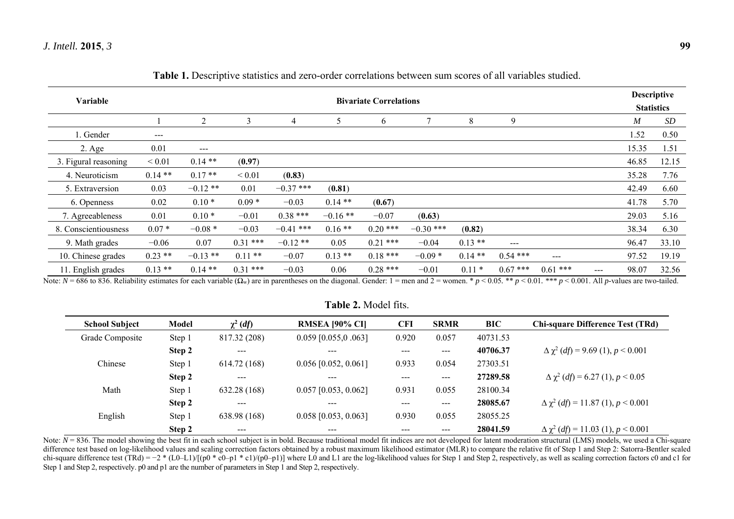| Variable             |             |            |             |             |            | <b>Bivariate Correlations</b> |             |          |            |            |       | <b>Descriptive</b> |       |
|----------------------|-------------|------------|-------------|-------------|------------|-------------------------------|-------------|----------|------------|------------|-------|--------------------|-------|
|                      |             |            |             |             |            |                               |             |          |            |            |       | <b>Statistics</b>  |       |
|                      |             | 2          | 3           | 4           | 5          | 6                             |             | 8        | 9          |            |       | $\boldsymbol{M}$   | SD    |
| 1. Gender            | $---$       |            |             |             |            |                               |             |          |            |            |       | 1.52               | 0.50  |
| $2. \text{Age}$      | 0.01        | $---$      |             |             |            |                               |             |          |            |            |       | 15.35              | 1.51  |
| 3. Figural reasoning | ${}_{0.01}$ | $0.14**$   | (0.97)      |             |            |                               |             |          |            |            |       | 46.85              | 12.15 |
| 4. Neuroticism       | $0.14**$    | $0.17**$   | ${}_{0.01}$ | (0.83)      |            |                               |             |          |            |            |       | 35.28              | 7.76  |
| 5. Extraversion      | 0.03        | $-0.12**$  | 0.01        | $-0.37$ *** | (0.81)     |                               |             |          |            |            |       | 42.49              | 6.60  |
| 6. Openness          | 0.02        | $0.10*$    | $0.09*$     | $-0.03$     | $0.14**$   | (0.67)                        |             |          |            |            |       | 41.78              | 5.70  |
| 7. Agreeableness     | 0.01        | $0.10*$    | $-0.01$     | $0.38***$   | $-0.16$ ** | $-0.07$                       | (0.63)      |          |            |            |       | 29.03              | 5.16  |
| 8. Conscientiousness | $0.07*$     | $-0.08*$   | $-0.03$     | $-0.41$ *** | $0.16**$   | $0.20$ ***                    | $-0.30$ *** | (0.82)   |            |            |       | 38.34              | 6.30  |
| 9. Math grades       | $-0.06$     | 0.07       | $0.31***$   | $-0.12**$   | 0.05       | $0.21$ ***                    | $-0.04$     | $0.13**$ | $\!--$     |            |       | 96.47              | 33.10 |
| 10. Chinese grades   | $0.23**$    | $-0.13$ ** | $0.11**$    | $-0.07$     | $0.13**$   | $0.18***$                     | $-0.09*$    | $0.14**$ | $0.54$ *** | ---        |       | 97.52              | 19.19 |
| 11. English grades   | $0.13**$    | $0.14**$   | $0.31***$   | $-0.03$     | 0.06       | $0.28***$                     | $-0.01$     | $0.11*$  | $0.67***$  | $0.61$ *** | $---$ | 98.07              | 32.56 |

|  |  | <b>Table 1.</b> Descriptive statistics and zero-order correlations between sum scores of all variables studied. |
|--|--|-----------------------------------------------------------------------------------------------------------------|
|--|--|-----------------------------------------------------------------------------------------------------------------|

Note:  $N = 686$  to 836. Reliability estimates for each variable  $(\Omega_w)$  are in parentheses on the diagonal. Gender: 1 = men and 2 = women. \*  $p < 0.05$ . \*\*  $p < 0.01$ . \*\*\*  $p < 0.001$ . All p-values are two-tailed.

| <b>School Subject</b> | Model  | $\chi^2$ (df) | <b>RMSEA [90% CI]</b>  | <b>CFI</b> | <b>SRMR</b>                | BIC      | <b>Chi-square Difference Test (TRd)</b>     |
|-----------------------|--------|---------------|------------------------|------------|----------------------------|----------|---------------------------------------------|
| Grade Composite       | Step 1 | 817.32 (208)  | $0.059$ [0.055,0.063]  | 0.920      | 0.057                      | 40731.53 |                                             |
|                       | Step 2 | $- - -$       |                        |            | $\qquad \qquad - \qquad -$ | 40706.37 | $\Delta \chi^2$ (df) = 9.69 (1), p < 0.001  |
| Chinese               | Step 1 | 614.72 (168)  | $0.056$ [0.052, 0.061] | 0.933      | 0.054                      | 27303.51 |                                             |
|                       | Step 2 | $---$         | ---                    | $---$      | $\qquad \qquad - -$        | 27289.58 | $\Delta \chi^2$ (df) = 6.27 (1), p < 0.05   |
| Math                  | Step 1 | 632.28 (168)  | $0.057$ [0.053, 0.062] | 0.931      | 0.055                      | 28100.34 |                                             |
|                       | Step 2 | $---$         |                        |            | $\qquad \qquad \cdots$     | 28085.67 | $\Delta \chi^2$ (df) = 11.87 (1), p < 0.001 |
| English               | Step 1 | 638.98 (168)  | $0.058$ [0.053, 0.063] | 0.930      | 0.055                      | 28055.25 |                                             |
|                       | Step 2 | $---$         |                        |            | ---                        | 28041.59 | $\Delta \chi^2$ (df) = 11.03 (1), p < 0.001 |

**Table 2.** Model fits.

Note:  $N = 836$ . The model showing the best fit in each school subject is in bold. Because traditional model fit indices are not developed for latent moderation structural (LMS) models, we used a Chi-square difference test based on log-likelihood values and scaling correction factors obtained by a robust maximum likelihood estimator (MLR) to compare the relative fit of Step 1 and Step 2: Satorra-Bentler scaled chi-square difference test (TRd) =  $-2$  \* (L0–L1)/[(p0 \* c0–p1 \* c1)/(p0–p1)] where L0 and L1 are the log-likelihood values for Step 1 and Step 2, respectively, as well as scaling correction factors c0 and c1 for Step 1 and Step 2, respectively. p0 and p1 are the number of parameters in Step 1 and Step 2, respectively.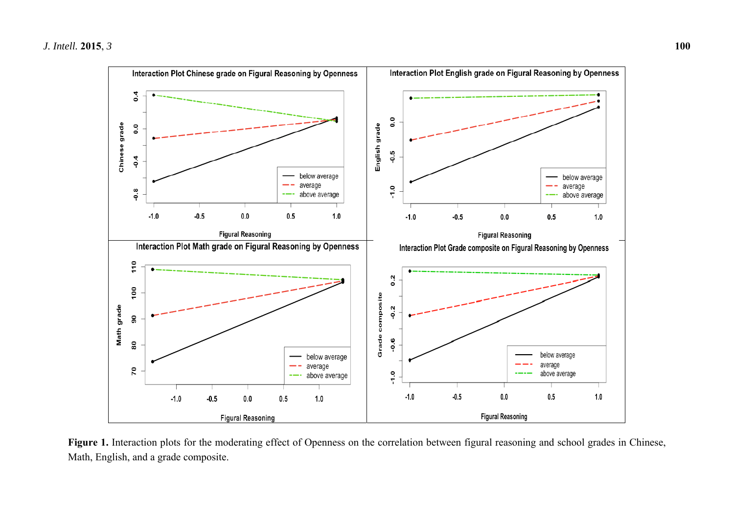

Figure 1. Interaction plots for the moderating effect of Openness on the correlation between figural reasoning and school grades in Chinese, Math, English, and a grade composite.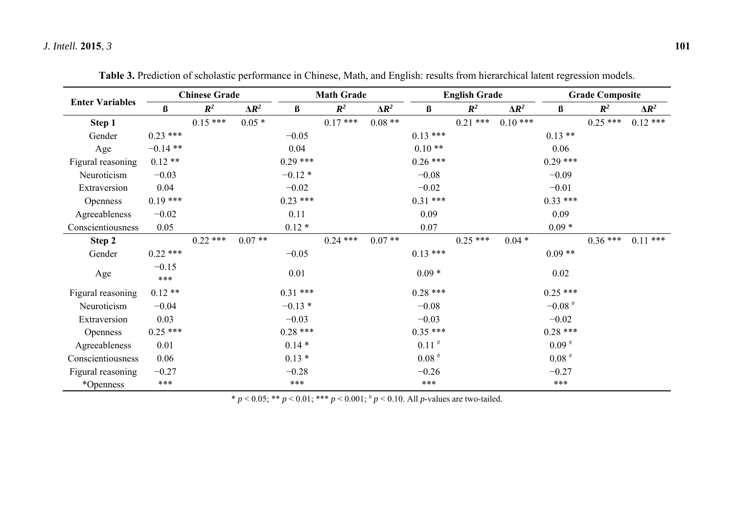|                        | <b>Chinese Grade</b> |                |              | <b>Math Grade</b> |                |              |                     | <b>English Grade</b> |              | <b>Grade Composite</b> |                |              |
|------------------------|----------------------|----------------|--------------|-------------------|----------------|--------------|---------------------|----------------------|--------------|------------------------|----------------|--------------|
| <b>Enter Variables</b> | ß                    | $\mathbb{R}^2$ | $\Delta R^2$ | ß                 | $\mathbb{R}^2$ | $\Delta R^2$ | ß                   | $\mathbb{R}^2$       | $\Delta R^2$ | $\boldsymbol{\beta}$   | $\mathbb{R}^2$ | $\Delta R^2$ |
| Step 1                 |                      | $0.15***$      | $0.05*$      |                   | $0.17***$      | $0.08**$     |                     | $0.21$ ***           | $0.10***$    |                        | $0.25$ ***     | $0.12***$    |
| Gender                 | $0.23$ ***           |                |              | $-0.05$           |                |              | $0.13***$           |                      |              | $0.13**$               |                |              |
| Age                    | $-0.14$ **           |                |              | 0.04              |                |              | $0.10**$            |                      |              | 0.06                   |                |              |
| Figural reasoning      | $0.12**$             |                |              | $0.29$ ***        |                |              | $0.26$ ***          |                      |              | $0.29$ ***             |                |              |
| Neuroticism            | $-0.03$              |                |              | $-0.12*$          |                |              | $-0.08$             |                      |              | $-0.09$                |                |              |
| Extraversion           | 0.04                 |                |              | $-0.02$           |                |              | $-0.02$             |                      |              | $-0.01$                |                |              |
| Openness               | $0.19***$            |                |              | $0.23$ ***        |                |              | $0.31***$           |                      |              | $0.33***$              |                |              |
| Agreeableness          | $-0.02$              |                |              | 0.11              |                |              | 0.09                |                      |              | 0.09                   |                |              |
| Conscientiousness      | 0.05                 |                |              | $0.12 *$          |                |              | 0.07                |                      |              | $0.09*$                |                |              |
| Step 2                 |                      | $0.22$ ***     | $0.07**$     |                   | $0.24$ ***     | $0.07**$     |                     | $0.25$ ***           | $0.04*$      |                        | $0.36***$      | $0.11***$    |
| Gender                 | $0.22$ ***           |                |              | $-0.05$           |                |              | $0.13***$           |                      |              | $0.09**$               |                |              |
| Age                    | $-0.15$              |                |              | 0.01              |                |              | $0.09*$             |                      |              | 0.02                   |                |              |
|                        | ***                  |                |              |                   |                |              |                     |                      |              |                        |                |              |
| Figural reasoning      | $0.12**$             |                |              | $0.31***$         |                |              | $0.28$ ***          |                      |              | $0.25$ ***             |                |              |
| Neuroticism            | $-0.04$              |                |              | $-0.13*$          |                |              | $-0.08$             |                      |              | $-0.08$ <sup>#</sup>   |                |              |
| Extraversion           | 0.03                 |                |              | $-0.03$           |                |              | $-0.03$             |                      |              | $-0.02$                |                |              |
| <b>Openness</b>        | $0.25$ ***           |                |              | $0.28$ ***        |                |              | $0.35***$           |                      |              | $0.28$ ***             |                |              |
| Agreeableness          | 0.01                 |                |              | $0.14*$           |                |              | $0.11$ <sup>#</sup> |                      |              | $0.09*$                |                |              |
| Conscientiousness      | 0.06                 |                |              | $0.13*$           |                |              | $0.08$ <sup>#</sup> |                      |              | $0.08$ <sup>#</sup>    |                |              |
| Figural reasoning      | $-0.27$              |                |              | $-0.28$           |                |              | $-0.26$             |                      |              | $-0.27$                |                |              |
| *Openness              | ***                  |                |              | ***               |                |              | $***$               |                      |              | ***                    |                |              |

**Table 3.** Prediction of scholastic performance in Chinese, Math, and English: results from hierarchical latent regression models.

\*  $p < 0.05$ ; \*\*  $p < 0.01$ ; \*\*\*  $p < 0.001$ ;  $\frac{p}{q} < 0.10$ . All  $p$ -values are two-tailed.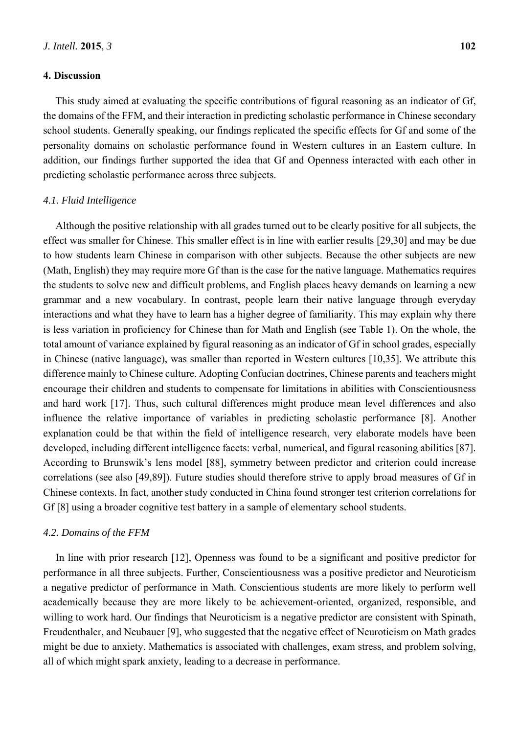## **4. Discussion**

This study aimed at evaluating the specific contributions of figural reasoning as an indicator of Gf, the domains of the FFM, and their interaction in predicting scholastic performance in Chinese secondary school students. Generally speaking, our findings replicated the specific effects for Gf and some of the personality domains on scholastic performance found in Western cultures in an Eastern culture. In addition, our findings further supported the idea that Gf and Openness interacted with each other in predicting scholastic performance across three subjects.

## *4.1. Fluid Intelligence*

Although the positive relationship with all grades turned out to be clearly positive for all subjects, the effect was smaller for Chinese. This smaller effect is in line with earlier results [29,30] and may be due to how students learn Chinese in comparison with other subjects. Because the other subjects are new (Math, English) they may require more Gf than is the case for the native language. Mathematics requires the students to solve new and difficult problems, and English places heavy demands on learning a new grammar and a new vocabulary. In contrast, people learn their native language through everyday interactions and what they have to learn has a higher degree of familiarity. This may explain why there is less variation in proficiency for Chinese than for Math and English (see Table 1). On the whole, the total amount of variance explained by figural reasoning as an indicator of Gf in school grades, especially in Chinese (native language), was smaller than reported in Western cultures [10,35]. We attribute this difference mainly to Chinese culture. Adopting Confucian doctrines, Chinese parents and teachers might encourage their children and students to compensate for limitations in abilities with Conscientiousness and hard work [17]. Thus, such cultural differences might produce mean level differences and also influence the relative importance of variables in predicting scholastic performance [8]. Another explanation could be that within the field of intelligence research, very elaborate models have been developed, including different intelligence facets: verbal, numerical, and figural reasoning abilities [87]. According to Brunswik's lens model [88], symmetry between predictor and criterion could increase correlations (see also [49,89]). Future studies should therefore strive to apply broad measures of Gf in Chinese contexts. In fact, another study conducted in China found stronger test criterion correlations for Gf [8] using a broader cognitive test battery in a sample of elementary school students.

#### *4.2. Domains of the FFM*

In line with prior research [12], Openness was found to be a significant and positive predictor for performance in all three subjects. Further, Conscientiousness was a positive predictor and Neuroticism a negative predictor of performance in Math. Conscientious students are more likely to perform well academically because they are more likely to be achievement-oriented, organized, responsible, and willing to work hard. Our findings that Neuroticism is a negative predictor are consistent with Spinath, Freudenthaler, and Neubauer [9], who suggested that the negative effect of Neuroticism on Math grades might be due to anxiety. Mathematics is associated with challenges, exam stress, and problem solving, all of which might spark anxiety, leading to a decrease in performance.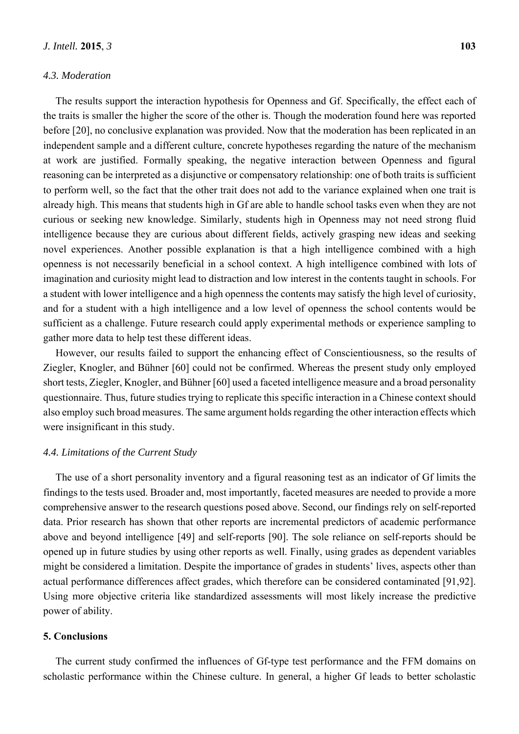## *4.3. Moderation*

The results support the interaction hypothesis for Openness and Gf. Specifically, the effect each of the traits is smaller the higher the score of the other is. Though the moderation found here was reported before [20], no conclusive explanation was provided. Now that the moderation has been replicated in an independent sample and a different culture, concrete hypotheses regarding the nature of the mechanism at work are justified. Formally speaking, the negative interaction between Openness and figural reasoning can be interpreted as a disjunctive or compensatory relationship: one of both traits is sufficient to perform well, so the fact that the other trait does not add to the variance explained when one trait is already high. This means that students high in Gf are able to handle school tasks even when they are not curious or seeking new knowledge. Similarly, students high in Openness may not need strong fluid intelligence because they are curious about different fields, actively grasping new ideas and seeking novel experiences. Another possible explanation is that a high intelligence combined with a high openness is not necessarily beneficial in a school context. A high intelligence combined with lots of imagination and curiosity might lead to distraction and low interest in the contents taught in schools. For a student with lower intelligence and a high openness the contents may satisfy the high level of curiosity, and for a student with a high intelligence and a low level of openness the school contents would be sufficient as a challenge. Future research could apply experimental methods or experience sampling to gather more data to help test these different ideas.

However, our results failed to support the enhancing effect of Conscientiousness, so the results of Ziegler, Knogler, and Bühner [60] could not be confirmed. Whereas the present study only employed short tests, Ziegler, Knogler, and Bühner [60] used a faceted intelligence measure and a broad personality questionnaire. Thus, future studies trying to replicate this specific interaction in a Chinese context should also employ such broad measures. The same argument holds regarding the other interaction effects which were insignificant in this study.

#### *4.4. Limitations of the Current Study*

The use of a short personality inventory and a figural reasoning test as an indicator of Gf limits the findings to the tests used. Broader and, most importantly, faceted measures are needed to provide a more comprehensive answer to the research questions posed above. Second, our findings rely on self-reported data. Prior research has shown that other reports are incremental predictors of academic performance above and beyond intelligence [49] and self-reports [90]. The sole reliance on self-reports should be opened up in future studies by using other reports as well. Finally, using grades as dependent variables might be considered a limitation. Despite the importance of grades in students' lives, aspects other than actual performance differences affect grades, which therefore can be considered contaminated [91,92]. Using more objective criteria like standardized assessments will most likely increase the predictive power of ability.

#### **5. Conclusions**

The current study confirmed the influences of Gf-type test performance and the FFM domains on scholastic performance within the Chinese culture. In general, a higher Gf leads to better scholastic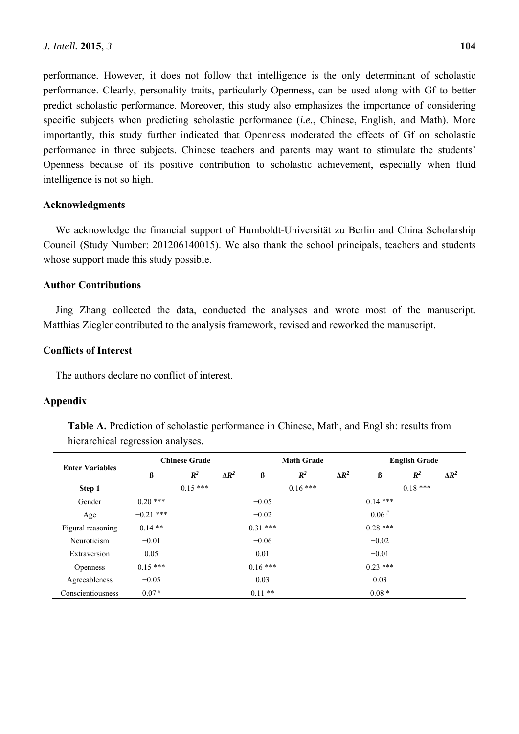performance. However, it does not follow that intelligence is the only determinant of scholastic performance. Clearly, personality traits, particularly Openness, can be used along with Gf to better predict scholastic performance. Moreover, this study also emphasizes the importance of considering specific subjects when predicting scholastic performance (*i.e.*, Chinese, English, and Math). More importantly, this study further indicated that Openness moderated the effects of Gf on scholastic performance in three subjects. Chinese teachers and parents may want to stimulate the students' Openness because of its positive contribution to scholastic achievement, especially when fluid intelligence is not so high.

## **Acknowledgments**

We acknowledge the financial support of Humboldt-Universität zu Berlin and China Scholarship Council (Study Number: 201206140015). We also thank the school principals, teachers and students whose support made this study possible.

## **Author Contributions**

Jing Zhang collected the data, conducted the analyses and wrote most of the manuscript. Matthias Ziegler contributed to the analysis framework, revised and reworked the manuscript.

## **Conflicts of Interest**

The authors declare no conflict of interest.

## **Appendix**

**Table A.** Prediction of scholastic performance in Chinese, Math, and English: results from hierarchical regression analyses.

| <b>Enter Variables</b> |             | <b>Chinese Grade</b> |              |           | <b>Math Grade</b> |              | <b>English Grade</b> |                |              |  |
|------------------------|-------------|----------------------|--------------|-----------|-------------------|--------------|----------------------|----------------|--------------|--|
|                        | ß           | $\mathbb{R}^2$       | $\Delta R^2$ | ß         | $\mathbb{R}^2$    | $\Delta R^2$ | ß                    | $\mathbb{R}^2$ | $\Delta R^2$ |  |
| Step 1                 |             | $0.15***$            |              |           | $0.16***$         |              |                      | $0.18***$      |              |  |
| Gender                 | $0.20$ ***  |                      |              | $-0.05$   |                   |              | $0.14***$            |                |              |  |
| Age                    | $-0.21$ *** |                      |              | $-0.02$   |                   |              | $0.06$ <sup>#</sup>  |                |              |  |
| Figural reasoning      | $0.14$ **   |                      |              | $0.31***$ |                   |              | $0.28***$            |                |              |  |
| Neuroticism            | $-0.01$     |                      |              | $-0.06$   |                   |              | $-0.02$              |                |              |  |
| Extraversion           | 0.05        |                      |              | 0.01      |                   |              | $-0.01$              |                |              |  |
| <b>Openness</b>        | $0.15***$   |                      |              | $0.16***$ |                   |              | $0.23$ ***           |                |              |  |
| Agreeableness          | $-0.05$     |                      |              | 0.03      |                   |              | 0.03                 |                |              |  |
| Conscientiousness      | $0.07$ #    |                      |              | $0.11**$  |                   |              | $0.08*$              |                |              |  |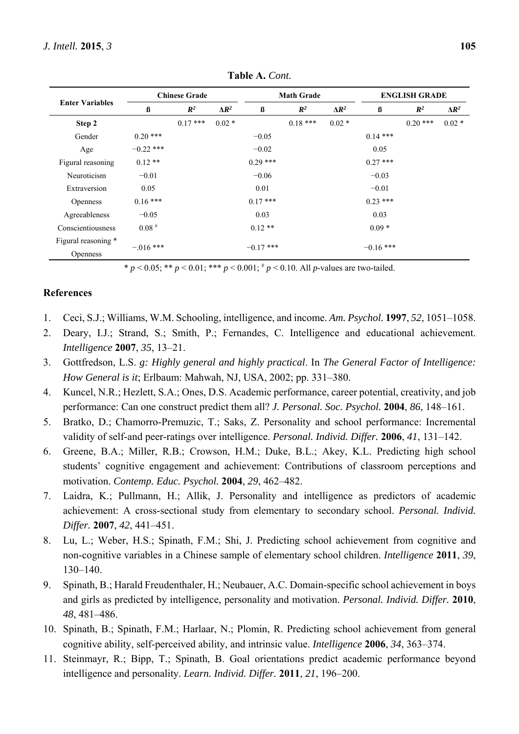| <b>Enter Variables</b>                 |                     | <b>Chinese Grade</b> |              |              | <b>Math Grade</b> |              | <b>ENGLISH GRADE</b> |                |              |  |
|----------------------------------------|---------------------|----------------------|--------------|--------------|-------------------|--------------|----------------------|----------------|--------------|--|
|                                        | ß                   | $\mathbb{R}^2$       | $\Delta R^2$ | $\mathbf{B}$ | $\mathbb{R}^2$    | $\Delta R^2$ | $\mathbf{\Omega}$    | $\mathbb{R}^2$ | $\Delta R^2$ |  |
| Step 2                                 |                     | $0.17***$            | $0.02*$      |              | $0.18***$         | $0.02*$      |                      | $0.20$ ***     | $0.02*$      |  |
| Gender                                 | $0.20$ ***          |                      |              | $-0.05$      |                   |              | $0.14***$            |                |              |  |
| Age                                    | $-0.22$ ***         |                      |              | $-0.02$      |                   |              | 0.05                 |                |              |  |
| Figural reasoning                      | $0.12**$            |                      |              | $0.29$ ***   |                   |              | $0.27$ ***           |                |              |  |
| Neuroticism                            | $-0.01$             |                      |              | $-0.06$      |                   |              | $-0.03$              |                |              |  |
| Extraversion                           | 0.05                |                      |              | 0.01         |                   |              | $-0.01$              |                |              |  |
| <b>Openness</b>                        | $0.16***$           |                      |              | $0.17***$    |                   |              | $0.23$ ***           |                |              |  |
| Agreeableness                          | $-0.05$             |                      |              | 0.03         |                   |              | 0.03                 |                |              |  |
| Conscientiousness                      | $0.08$ <sup>#</sup> |                      |              | $0.12**$     |                   |              | $0.09*$              |                |              |  |
| Figural reasoning *<br><b>Openness</b> | $-.016$ ***         |                      |              | $-0.17$ ***  |                   |              | $-0.16$ ***          |                |              |  |

**Table A.** *Cont.* 

\* *p* < 0.05; \*\* *p* < 0.01; \*\*\* *p* < 0.001;  $p$  *p* < 0.10. All *p*-values are two-tailed.

## **References**

- 1. Ceci, S.J.; Williams, W.M. Schooling, intelligence, and income. *Am. Psychol.* **1997**, *52*, 1051–1058.
- 2. Deary, I.J.; Strand, S.; Smith, P.; Fernandes, C. Intelligence and educational achievement. *Intelligence* **2007**, *35*, 13–21.
- 3. Gottfredson, L.S. *g: Highly general and highly practical*. In *The General Factor of Intelligence: How General is it*; Erlbaum: Mahwah, NJ, USA, 2002; pp. 331–380.
- 4. Kuncel, N.R.; Hezlett, S.A.; Ones, D.S. Academic performance, career potential, creativity, and job performance: Can one construct predict them all? *J. Personal. Soc. Psychol.* **2004**, *86*, 148–161.
- 5. Bratko, D.; Chamorro-Premuzic, T.; Saks, Z. Personality and school performance: Incremental validity of self-and peer-ratings over intelligence. *Personal. Individ. Differ.* **2006**, *41*, 131–142.
- 6. Greene, B.A.; Miller, R.B.; Crowson, H.M.; Duke, B.L.; Akey, K.L. Predicting high school students' cognitive engagement and achievement: Contributions of classroom perceptions and motivation. *Contemp. Educ. Psychol.* **2004**, *29*, 462–482.
- 7. Laidra, K.; Pullmann, H.; Allik, J. Personality and intelligence as predictors of academic achievement: A cross-sectional study from elementary to secondary school. *Personal. Individ. Differ.* **2007**, *42*, 441–451.
- 8. Lu, L.; Weber, H.S.; Spinath, F.M.; Shi, J. Predicting school achievement from cognitive and non-cognitive variables in a Chinese sample of elementary school children. *Intelligence* **2011**, *39*, 130–140.
- 9. Spinath, B.; Harald Freudenthaler, H.; Neubauer, A.C. Domain-specific school achievement in boys and girls as predicted by intelligence, personality and motivation. *Personal. Individ. Differ.* **2010**, *48*, 481–486.
- 10. Spinath, B.; Spinath, F.M.; Harlaar, N.; Plomin, R. Predicting school achievement from general cognitive ability, self-perceived ability, and intrinsic value. *Intelligence* **2006**, *34*, 363–374.
- 11. Steinmayr, R.; Bipp, T.; Spinath, B. Goal orientations predict academic performance beyond intelligence and personality. *Learn. Individ. Differ.* **2011**, *21*, 196–200.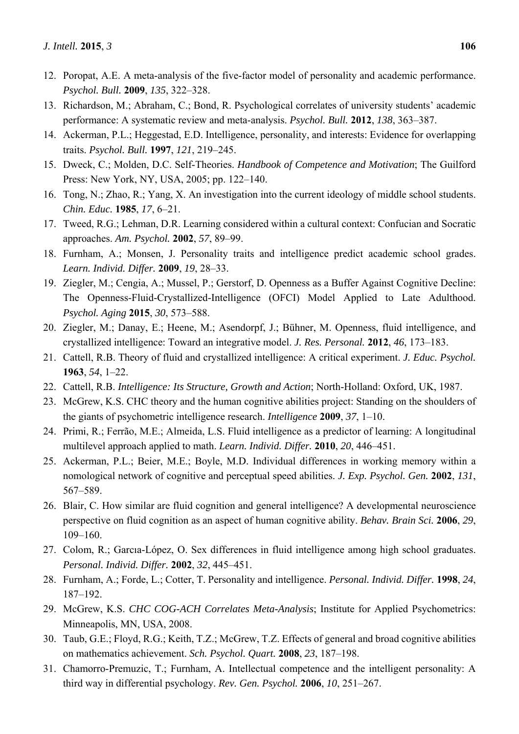- 13. Richardson, M.; Abraham, C.; Bond, R. Psychological correlates of university students' academic performance: A systematic review and meta-analysis. *Psychol. Bull.* **2012**, *138*, 363–387.
- 14. Ackerman, P.L.; Heggestad, E.D. Intelligence, personality, and interests: Evidence for overlapping traits. *Psychol. Bull.* **1997**, *121*, 219–245.
- 15. Dweck, C.; Molden, D.C. Self-Theories. *Handbook of Competence and Motivation*; The Guilford Press: New York, NY, USA, 2005; pp. 122–140.
- 16. Tong, N.; Zhao, R.; Yang, X. An investigation into the current ideology of middle school students. *Chin. Educ.* **1985**, *17*, 6–21.
- 17. Tweed, R.G.; Lehman, D.R. Learning considered within a cultural context: Confucian and Socratic approaches. *Am. Psychol.* **2002**, *57*, 89–99.
- 18. Furnham, A.; Monsen, J. Personality traits and intelligence predict academic school grades. *Learn. Individ. Differ.* **2009**, *19*, 28–33.
- 19. Ziegler, M.; Cengia, A.; Mussel, P.; Gerstorf, D. Openness as a Buffer Against Cognitive Decline: The Openness-Fluid-Crystallized-Intelligence (OFCI) Model Applied to Late Adulthood. *Psychol. Aging* **2015**, *30*, 573–588.
- 20. Ziegler, M.; Danay, E.; Heene, M.; Asendorpf, J.; Bühner, M. Openness, fluid intelligence, and crystallized intelligence: Toward an integrative model. *J. Res. Personal.* **2012**, *46*, 173–183.
- 21. Cattell, R.B. Theory of fluid and crystallized intelligence: A critical experiment. *J. Educ. Psychol.*  **1963**, *54*, 1–22.
- 22. Cattell, R.B. *Intelligence: Its Structure, Growth and Action*; North-Holland: Oxford, UK, 1987.
- 23. McGrew, K.S. CHC theory and the human cognitive abilities project: Standing on the shoulders of the giants of psychometric intelligence research. *Intelligence* **2009**, *37*, 1–10.
- 24. Primi, R.; Ferrão, M.E.; Almeida, L.S. Fluid intelligence as a predictor of learning: A longitudinal multilevel approach applied to math. *Learn. Individ. Differ.* **2010**, *20*, 446–451.
- 25. Ackerman, P.L.; Beier, M.E.; Boyle, M.D. Individual differences in working memory within a nomological network of cognitive and perceptual speed abilities. *J. Exp. Psychol. Gen.* **2002**, *131*, 567–589.
- 26. Blair, C. How similar are fluid cognition and general intelligence? A developmental neuroscience perspective on fluid cognition as an aspect of human cognitive ability. *Behav. Brain Sci.* **2006**, *29*, 109–160.
- 27. Colom, R.; Garcıa-López, O. Sex differences in fluid intelligence among high school graduates. *Personal. Individ. Differ.* **2002**, *32*, 445–451.
- 28. Furnham, A.; Forde, L.; Cotter, T. Personality and intelligence. *Personal. Individ. Differ.* **1998**, *24*, 187–192.
- 29. McGrew, K.S. *CHC COG-ACH Correlates Meta-Analysis*; Institute for Applied Psychometrics: Minneapolis, MN, USA, 2008.
- 30. Taub, G.E.; Floyd, R.G.; Keith, T.Z.; McGrew, T.Z. Effects of general and broad cognitive abilities on mathematics achievement. *Sch. Psychol. Quart.* **2008**, *23*, 187–198.
- 31. Chamorro-Premuzic, T.; Furnham, A. Intellectual competence and the intelligent personality: A third way in differential psychology. *Rev. Gen. Psychol.* **2006**, *10*, 251–267.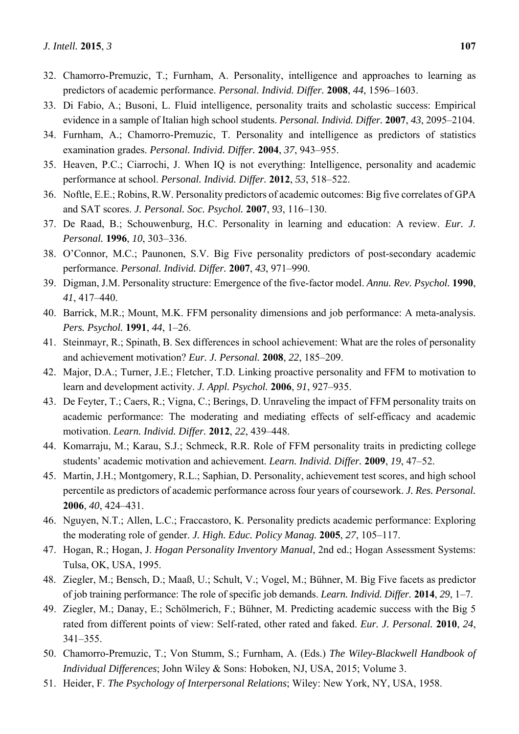- 32. Chamorro-Premuzic, T.; Furnham, A. Personality, intelligence and approaches to learning as predictors of academic performance. *Personal. Individ. Differ.* **2008**, *44*, 1596–1603.
- 33. Di Fabio, A.; Busoni, L. Fluid intelligence, personality traits and scholastic success: Empirical evidence in a sample of Italian high school students. *Personal. Individ. Differ.* **2007**, *43*, 2095–2104.
- 34. Furnham, A.; Chamorro-Premuzic, T. Personality and intelligence as predictors of statistics examination grades. *Personal. Individ. Differ.* **2004**, *37*, 943–955.
- 35. Heaven, P.C.; Ciarrochi, J. When IQ is not everything: Intelligence, personality and academic performance at school. *Personal. Individ. Differ.* **2012**, *53*, 518–522.
- 36. Noftle, E.E.; Robins, R.W. Personality predictors of academic outcomes: Big five correlates of GPA and SAT scores. *J. Personal. Soc. Psychol.* **2007**, *93*, 116–130.
- 37. De Raad, B.; Schouwenburg, H.C. Personality in learning and education: A review. *Eur. J. Personal.* **1996**, *10*, 303–336.
- 38. O'Connor, M.C.; Paunonen, S.V. Big Five personality predictors of post-secondary academic performance. *Personal. Individ. Differ.* **2007**, *43*, 971–990.
- 39. Digman, J.M. Personality structure: Emergence of the five-factor model. *Annu. Rev. Psychol.* **1990**, *41*, 417–440.
- 40. Barrick, M.R.; Mount, M.K. FFM personality dimensions and job performance: A meta-analysis. *Pers. Psychol.* **1991**, *44*, 1–26.
- 41. Steinmayr, R.; Spinath, B. Sex differences in school achievement: What are the roles of personality and achievement motivation? *Eur. J. Personal.* **2008**, *22*, 185–209.
- 42. Major, D.A.; Turner, J.E.; Fletcher, T.D. Linking proactive personality and FFM to motivation to learn and development activity. *J. Appl. Psychol.* **2006**, *91*, 927–935.
- 43. De Feyter, T.; Caers, R.; Vigna, C.; Berings, D. Unraveling the impact of FFM personality traits on academic performance: The moderating and mediating effects of self-efficacy and academic motivation. *Learn. Individ. Differ.* **2012**, *22*, 439–448.
- 44. Komarraju, M.; Karau, S.J.; Schmeck, R.R. Role of FFM personality traits in predicting college students' academic motivation and achievement. *Learn. Individ. Differ.* **2009**, *19*, 47–52.
- 45. Martin, J.H.; Montgomery, R.L.; Saphian, D. Personality, achievement test scores, and high school percentile as predictors of academic performance across four years of coursework. *J. Res. Personal.*  **2006**, *40*, 424–431.
- 46. Nguyen, N.T.; Allen, L.C.; Fraccastoro, K. Personality predicts academic performance: Exploring the moderating role of gender. *J. High. Educ. Policy Manag.* **2005**, *27*, 105–117.
- 47. Hogan, R.; Hogan, J. *Hogan Personality Inventory Manual*, 2nd ed.; Hogan Assessment Systems: Tulsa, OK, USA, 1995.
- 48. Ziegler, M.; Bensch, D.; Maaß, U.; Schult, V.; Vogel, M.; Bühner, M. Big Five facets as predictor of job training performance: The role of specific job demands. *Learn. Individ. Differ.* **2014**, *29*, 1–7.
- 49. Ziegler, M.; Danay, E.; Schölmerich, F.; Bühner, M. Predicting academic success with the Big 5 rated from different points of view: Self-rated, other rated and faked. *Eur. J. Personal.* **2010**, *24*, 341–355.
- 50. Chamorro-Premuzic, T.; Von Stumm, S.; Furnham, A. (Eds.) *The Wiley-Blackwell Handbook of Individual Differences*; John Wiley & Sons: Hoboken, NJ, USA, 2015; Volume 3.
- 51. Heider, F. *The Psychology of Interpersonal Relations*; Wiley: New York, NY, USA, 1958.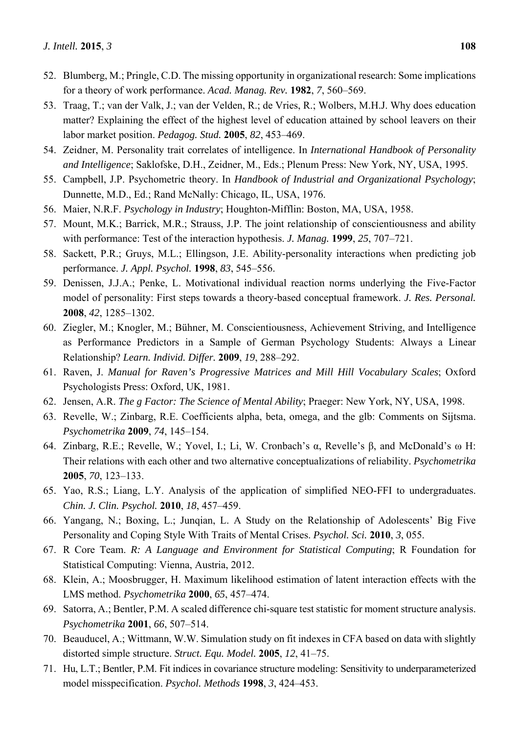- 52. Blumberg, M.; Pringle, C.D. The missing opportunity in organizational research: Some implications for a theory of work performance. *Acad. Manag. Rev.* **1982**, *7*, 560–569.
- 53. Traag, T.; van der Valk, J.; van der Velden, R.; de Vries, R.; Wolbers, M.H.J. Why does education matter? Explaining the effect of the highest level of education attained by school leavers on their labor market position. *Pedagog. Stud.* **2005**, *82*, 453–469.
- 54. Zeidner, M. Personality trait correlates of intelligence. In *International Handbook of Personality and Intelligence*; Saklofske, D.H., Zeidner, M., Eds.; Plenum Press: New York, NY, USA, 1995.
- 55. Campbell, J.P. Psychometric theory. In *Handbook of Industrial and Organizational Psychology*; Dunnette, M.D., Ed.; Rand McNally: Chicago, IL, USA, 1976.
- 56. Maier, N.R.F. *Psychology in Industry*; Houghton-Mifflin: Boston, MA, USA, 1958.
- 57. Mount, M.K.; Barrick, M.R.; Strauss, J.P. The joint relationship of conscientiousness and ability with performance: Test of the interaction hypothesis. *J. Manag.* **1999**, *25*, 707–721.
- 58. Sackett, P.R.; Gruys, M.L.; Ellingson, J.E. Ability-personality interactions when predicting job performance. *J. Appl. Psychol.* **1998**, *83*, 545–556.
- 59. Denissen, J.J.A.; Penke, L. Motivational individual reaction norms underlying the Five-Factor model of personality: First steps towards a theory-based conceptual framework. *J. Res. Personal.*  **2008**, *42*, 1285–1302.
- 60. Ziegler, M.; Knogler, M.; Bühner, M. Conscientiousness, Achievement Striving, and Intelligence as Performance Predictors in a Sample of German Psychology Students: Always a Linear Relationship? *Learn. Individ. Differ.* **2009**, *19*, 288–292.
- 61. Raven, J. *Manual for Raven's Progressive Matrices and Mill Hill Vocabulary Scales*; Oxford Psychologists Press: Oxford, UK, 1981.
- 62. Jensen, A.R. *The g Factor: The Science of Mental Ability*; Praeger: New York, NY, USA, 1998.
- 63. Revelle, W.; Zinbarg, R.E. Coefficients alpha, beta, omega, and the glb: Comments on Sijtsma. *Psychometrika* **2009**, *74*, 145–154.
- 64. Zinbarg, R.E.; Revelle, W.; Yovel, I.; Li, W. Cronbach's α, Revelle's β, and McDonald's ω H: Their relations with each other and two alternative conceptualizations of reliability. *Psychometrika*  **2005**, *70*, 123–133.
- 65. Yao, R.S.; Liang, L.Y. Analysis of the application of simplified NEO-FFI to undergraduates. *Chin. J. Clin. Psychol.* **2010**, *18*, 457–459.
- 66. Yangang, N.; Boxing, L.; Junqian, L. A Study on the Relationship of Adolescents' Big Five Personality and Coping Style With Traits of Mental Crises. *Psychol. Sci.* **2010**, *3*, 055.
- 67. R Core Team. *R: A Language and Environment for Statistical Computing*; R Foundation for Statistical Computing: Vienna, Austria, 2012.
- 68. Klein, A.; Moosbrugger, H. Maximum likelihood estimation of latent interaction effects with the LMS method. *Psychometrika* **2000**, *65*, 457–474.
- 69. Satorra, A.; Bentler, P.M. A scaled difference chi-square test statistic for moment structure analysis. *Psychometrika* **2001**, *66*, 507–514.
- 70. Beauducel, A.; Wittmann, W.W. Simulation study on fit indexes in CFA based on data with slightly distorted simple structure. *Struct. Equ. Model.* **2005**, *12*, 41–75.
- 71. Hu, L.T.; Bentler, P.M. Fit indices in covariance structure modeling: Sensitivity to underparameterized model misspecification. *Psychol. Methods* **1998**, *3*, 424–453.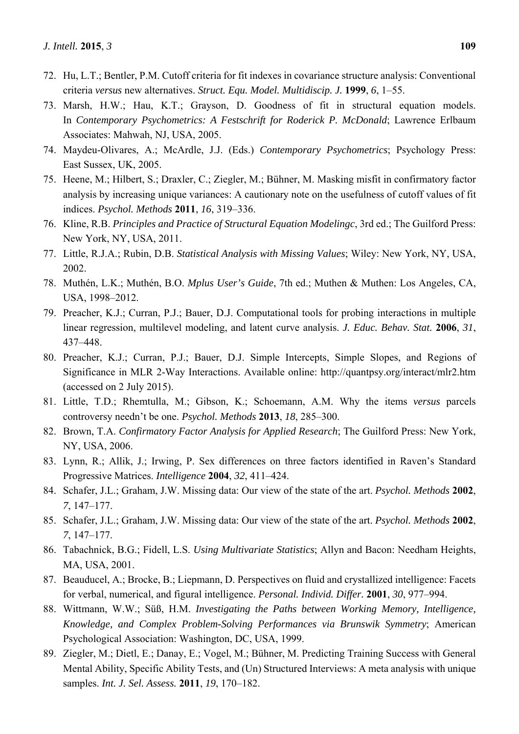- 72. Hu, L.T.; Bentler, P.M. Cutoff criteria for fit indexes in covariance structure analysis: Conventional criteria *versus* new alternatives. *Struct. Equ. Model. Multidiscip. J.* **1999**, *6*, 1–55.
- 73. Marsh, H.W.; Hau, K.T.; Grayson, D. Goodness of fit in structural equation models. In *Contemporary Psychometrics: A Festschrift for Roderick P. McDonald*; Lawrence Erlbaum Associates: Mahwah, NJ, USA, 2005.
- 74. Maydeu-Olivares, A.; McArdle, J.J. (Eds.) *Contemporary Psychometrics*; Psychology Press: East Sussex, UK, 2005.
- 75. Heene, M.; Hilbert, S.; Draxler, C.; Ziegler, M.; Bühner, M. Masking misfit in confirmatory factor analysis by increasing unique variances: A cautionary note on the usefulness of cutoff values of fit indices. *Psychol. Methods* **2011**, *16*, 319–336.
- 76. Kline, R.B. *Principles and Practice of Structural Equation Modelingc*, 3rd ed.; The Guilford Press: New York, NY, USA, 2011.
- 77. Little, R.J.A.; Rubin, D.B. *Statistical Analysis with Missing Values*; Wiley: New York, NY, USA, 2002.
- 78. Muthén, L.K.; Muthén, B.O. *Mplus User's Guide*, 7th ed.; Muthen & Muthen: Los Angeles, CA, USA, 1998–2012.
- 79. Preacher, K.J.; Curran, P.J.; Bauer, D.J. Computational tools for probing interactions in multiple linear regression, multilevel modeling, and latent curve analysis. *J. Educ. Behav. Stat.* **2006**, *31*, 437–448.
- 80. Preacher, K.J.; Curran, P.J.; Bauer, D.J. Simple Intercepts, Simple Slopes, and Regions of Significance in MLR 2-Way Interactions. Available online: http://quantpsy.org/interact/mlr2.htm (accessed on 2 July 2015).
- 81. Little, T.D.; Rhemtulla, M.; Gibson, K.; Schoemann, A.M. Why the items *versus* parcels controversy needn't be one. *Psychol. Methods* **2013**, *18*, 285–300.
- 82. Brown, T.A. *Confirmatory Factor Analysis for Applied Research*; The Guilford Press: New York, NY, USA, 2006.
- 83. Lynn, R.; Allik, J.; Irwing, P. Sex differences on three factors identified in Raven's Standard Progressive Matrices. *Intelligence* **2004**, *32*, 411–424.
- 84. Schafer, J.L.; Graham, J.W. Missing data: Our view of the state of the art. *Psychol. Methods* **2002**, *7*, 147–177.
- 85. Schafer, J.L.; Graham, J.W. Missing data: Our view of the state of the art. *Psychol. Methods* **2002**, *7*, 147–177.
- 86. Tabachnick, B.G.; Fidell, L.S. *Using Multivariate Statistics*; Allyn and Bacon: Needham Heights, MA, USA, 2001.
- 87. Beauducel, A.; Brocke, B.; Liepmann, D. Perspectives on fluid and crystallized intelligence: Facets for verbal, numerical, and figural intelligence. *Personal. Individ. Differ.* **2001**, *30*, 977–994.
- 88. Wittmann, W.W.; Süß, H.M. *Investigating the Paths between Working Memory, Intelligence, Knowledge, and Complex Problem-Solving Performances via Brunswik Symmetry*; American Psychological Association: Washington, DC, USA, 1999.
- 89. Ziegler, M.; Dietl, E.; Danay, E.; Vogel, M.; Bühner, M. Predicting Training Success with General Mental Ability, Specific Ability Tests, and (Un) Structured Interviews: A meta analysis with unique samples. *Int. J. Sel. Assess.* **2011**, *19*, 170–182.